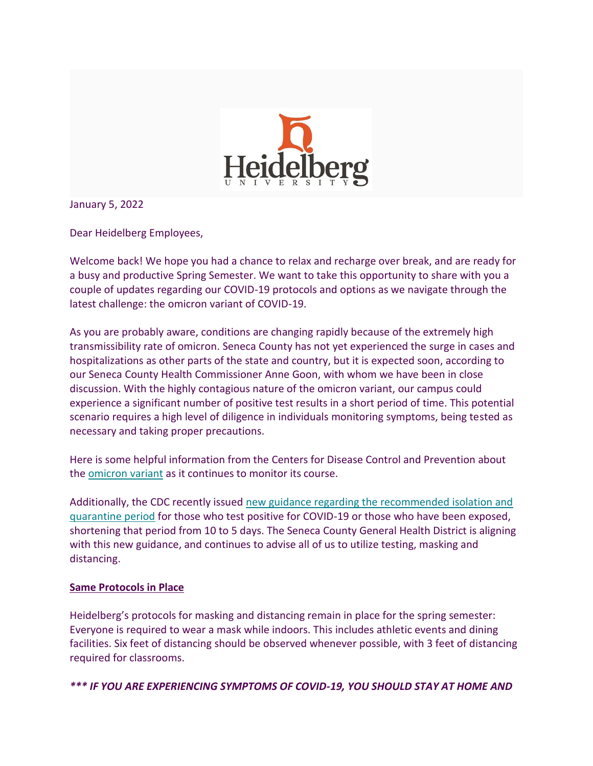

January 5, 2022

Dear Heidelberg Employees,

Welcome back! We hope you had a chance to relax and recharge over break, and are ready for a busy and productive Spring Semester. We want to take this opportunity to share with you a couple of updates regarding our COVID-19 protocols and options as we navigate through the latest challenge: the omicron variant of COVID-19.

As you are probably aware, conditions are changing rapidly because of the extremely high transmissibility rate of omicron. Seneca County has not yet experienced the surge in cases and hospitalizations as other parts of the state and country, but it is expected soon, according to our Seneca County Health Commissioner Anne Goon, with whom we have been in close discussion. With the highly contagious nature of the omicron variant, our campus could experience a significant number of positive test results in a short period of time. This potential scenario requires a high level of diligence in individuals monitoring symptoms, being tested as necessary and taking proper precautions.

Here is some helpful information from the Centers for Disease Control and Prevention about the [omicron variant](https://heidelberg.us1.list-manage.com/track/click?u=aedcf85e9275dba4a51d423f2&id=141eac4b7c&e=97159f85d8) as it continues to monitor its course.

Additionally, the CDC recently issued new [guidance regarding the recommended isolation and](https://heidelberg.us1.list-manage.com/track/click?u=aedcf85e9275dba4a51d423f2&id=5a203e715c&e=97159f85d8)  [quarantine period](https://heidelberg.us1.list-manage.com/track/click?u=aedcf85e9275dba4a51d423f2&id=5a203e715c&e=97159f85d8) for those who test positive for COVID-19 or those who have been exposed, shortening that period from 10 to 5 days. The Seneca County General Health District is aligning with this new guidance, and continues to advise all of us to utilize testing, masking and distancing.

## **Same Protocols in Place**

Heidelberg's protocols for masking and distancing remain in place for the spring semester: Everyone is required to wear a mask while indoors. This includes athletic events and dining facilities. Six feet of distancing should be observed whenever possible, with 3 feet of distancing required for classrooms.

*\*\*\* IF YOU ARE EXPERIENCING SYMPTOMS OF COVID-19, YOU SHOULD STAY AT HOME AND*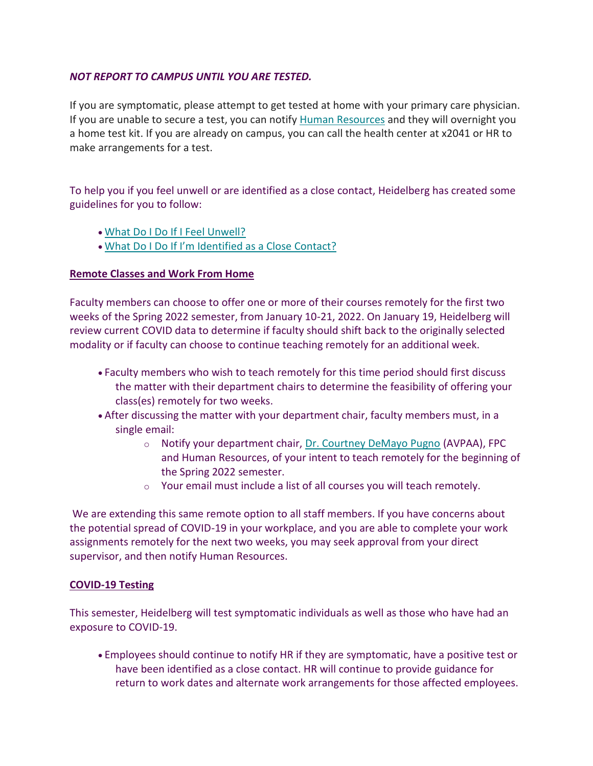## *NOT REPORT TO CAMPUS UNTIL YOU ARE TESTED.*

If you are symptomatic, please attempt to get tested at home with your primary care physician. If you are unable to secure a test, you can notify [Human Resources](mailto:hr@heidelberg.edu) and they will overnight you a home test kit. If you are already on campus, you can call the health center at x2041 or HR to make arrangements for a test.

To help you if you feel unwell or are identified as a close contact, Heidelberg has created some guidelines for you to follow:

- [What Do I Do If I Feel Unwell?](https://heidelberg.us1.list-manage.com/track/click?u=aedcf85e9275dba4a51d423f2&id=e519a78421&e=97159f85d8)
- [What Do I Do If I'm Identified as a Close Contact?](https://heidelberg.us1.list-manage.com/track/click?u=aedcf85e9275dba4a51d423f2&id=98d080b1b0&e=97159f85d8)

## **Remote Classes and Work From Home**

Faculty members can choose to offer one or more of their courses remotely for the first two weeks of the Spring 2022 semester, from January 10-21, 2022. On January 19, Heidelberg will review current COVID data to determine if faculty should shift back to the originally selected modality or if faculty can choose to continue teaching remotely for an additional week.

- Faculty members who wish to teach remotely for this time period should first discuss the matter with their department chairs to determine the feasibility of offering your class(es) remotely for two weeks.
- After discussing the matter with your department chair, faculty members must, in a single email:
	- o Notify your department chair, [Dr. Courtney DeMayo Pugno](mailto:cdemayo@heidelberg.edu) (AVPAA), FPC and Human Resources, of your intent to teach remotely for the beginning of the Spring 2022 semester.
	- o Your email must include a list of all courses you will teach remotely.

We are extending this same remote option to all staff members. If you have concerns about the potential spread of COVID-19 in your workplace, and you are able to complete your work assignments remotely for the next two weeks, you may seek approval from your direct supervisor, and then notify Human Resources.

## **COVID-19 Testing**

This semester, Heidelberg will test symptomatic individuals as well as those who have had an exposure to COVID-19.

• Employees should continue to notify HR if they are symptomatic, have a positive test or have been identified as a close contact. HR will continue to provide guidance for return to work dates and alternate work arrangements for those affected employees.